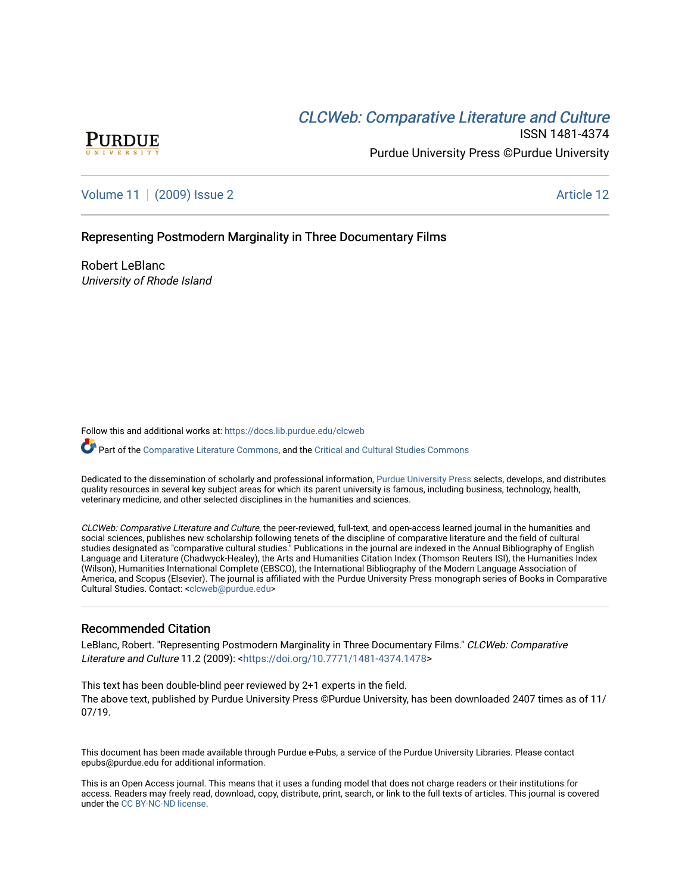# **CLCW[eb: Comparative Liter](https://docs.lib.purdue.edu/clcweb)ature and Culture**



ISSN 1481-4374 Purdue University Press ©Purdue University

[Volume 11](https://docs.lib.purdue.edu/clcweb/vol11) | [\(2009\) Issue 2](https://docs.lib.purdue.edu/clcweb/vol11/iss2) Article 12

### Representing Postmodern Marginality in Three Documentary Films

Robert LeBlanc University of Rhode Island

Follow this and additional works at: [https://docs.lib.purdue.edu/clcweb](https://docs.lib.purdue.edu/clcweb?utm_source=docs.lib.purdue.edu%2Fclcweb%2Fvol11%2Fiss2%2F12&utm_medium=PDF&utm_campaign=PDFCoverPages)

Part of the [Comparative Literature Commons,](http://network.bepress.com/hgg/discipline/454?utm_source=docs.lib.purdue.edu%2Fclcweb%2Fvol11%2Fiss2%2F12&utm_medium=PDF&utm_campaign=PDFCoverPages) and the Critical and Cultural Studies Commons

Dedicated to the dissemination of scholarly and professional information, [Purdue University Press](http://www.thepress.purdue.edu/) selects, develops, and distributes quality resources in several key subject areas for which its parent university is famous, including business, technology, health, veterinary medicine, and other selected disciplines in the humanities and sciences.

CLCWeb: Comparative Literature and Culture, the peer-reviewed, full-text, and open-access learned journal in the humanities and social sciences, publishes new scholarship following tenets of the discipline of comparative literature and the field of cultural studies designated as "comparative cultural studies." Publications in the journal are indexed in the Annual Bibliography of English Language and Literature (Chadwyck-Healey), the Arts and Humanities Citation Index (Thomson Reuters ISI), the Humanities Index (Wilson), Humanities International Complete (EBSCO), the International Bibliography of the Modern Language Association of America, and Scopus (Elsevier). The journal is affiliated with the Purdue University Press monograph series of Books in Comparative Cultural Studies. Contact: [<clcweb@purdue.edu](mailto:clcweb@purdue.edu)>

### Recommended Citation

LeBlanc, Robert. "Representing Postmodern Marginality in Three Documentary Films." CLCWeb: Comparative Literature and Culture 11.2 (2009): <<https://doi.org/10.7771/1481-4374.1478>>

This text has been double-blind peer reviewed by 2+1 experts in the field. The above text, published by Purdue University Press ©Purdue University, has been downloaded 2407 times as of 11/ 07/19.

This document has been made available through Purdue e-Pubs, a service of the Purdue University Libraries. Please contact epubs@purdue.edu for additional information.

This is an Open Access journal. This means that it uses a funding model that does not charge readers or their institutions for access. Readers may freely read, download, copy, distribute, print, search, or link to the full texts of articles. This journal is covered under the [CC BY-NC-ND license.](https://creativecommons.org/licenses/by-nc-nd/4.0/)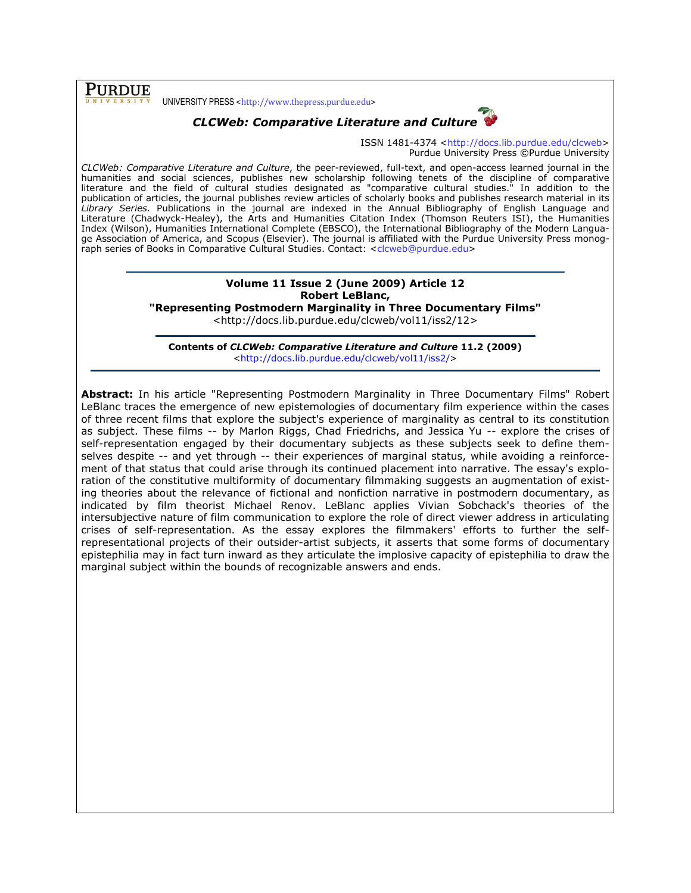**PURDUE** 

UNIVERSITY PRESS <http://www.thepress.purdue.edu>



ISSN 1481-4374 <http://docs.lib.purdue.edu/clcweb> Purdue University Press ©Purdue University

CLCWeb: Comparative Literature and Culture, the peer-reviewed, full-text, and open-access learned journal in the humanities and social sciences, publishes new scholarship following tenets of the discipline of comparative literature and the field of cultural studies designated as "comparative cultural studies." In addition to the publication of articles, the journal publishes review articles of scholarly books and publishes research material in its Library Series. Publications in the journal are indexed in the Annual Bibliography of English Language and Literature (Chadwyck-Healey), the Arts and Humanities Citation Index (Thomson Reuters ISI), the Humanities Index (Wilson), Humanities International Complete (EBSCO), the International Bibliography of the Modern Language Association of America, and Scopus (Elsevier). The journal is affiliated with the Purdue University Press monograph series of Books in Comparative Cultural Studies. Contact: <clcweb@purdue.edu>

## Volume 11 Issue 2 (June 2009) Article 12 Robert LeBlanc,

"Representing Postmodern Marginality in Three Documentary Films"

<http://docs.lib.purdue.edu/clcweb/vol11/iss2/12>

Contents of CLCWeb: Comparative Literature and Culture 11.2 (2009) <http://docs.lib.purdue.edu/clcweb/vol11/iss2/>

Abstract: In his article "Representing Postmodern Marginality in Three Documentary Films" Robert LeBlanc traces the emergence of new epistemologies of documentary film experience within the cases of three recent films that explore the subject's experience of marginality as central to its constitution as subject. These films -- by Marlon Riggs, Chad Friedrichs, and Jessica Yu -- explore the crises of self-representation engaged by their documentary subjects as these subjects seek to define themselves despite -- and yet through -- their experiences of marginal status, while avoiding a reinforcement of that status that could arise through its continued placement into narrative. The essay's exploration of the constitutive multiformity of documentary filmmaking suggests an augmentation of existing theories about the relevance of fictional and nonfiction narrative in postmodern documentary, as indicated by film theorist Michael Renov. LeBlanc applies Vivian Sobchack's theories of the intersubjective nature of film communication to explore the role of direct viewer address in articulating crises of self-representation. As the essay explores the filmmakers' efforts to further the selfrepresentational projects of their outsider-artist subjects, it asserts that some forms of documentary epistephilia may in fact turn inward as they articulate the implosive capacity of epistephilia to draw the marginal subject within the bounds of recognizable answers and ends.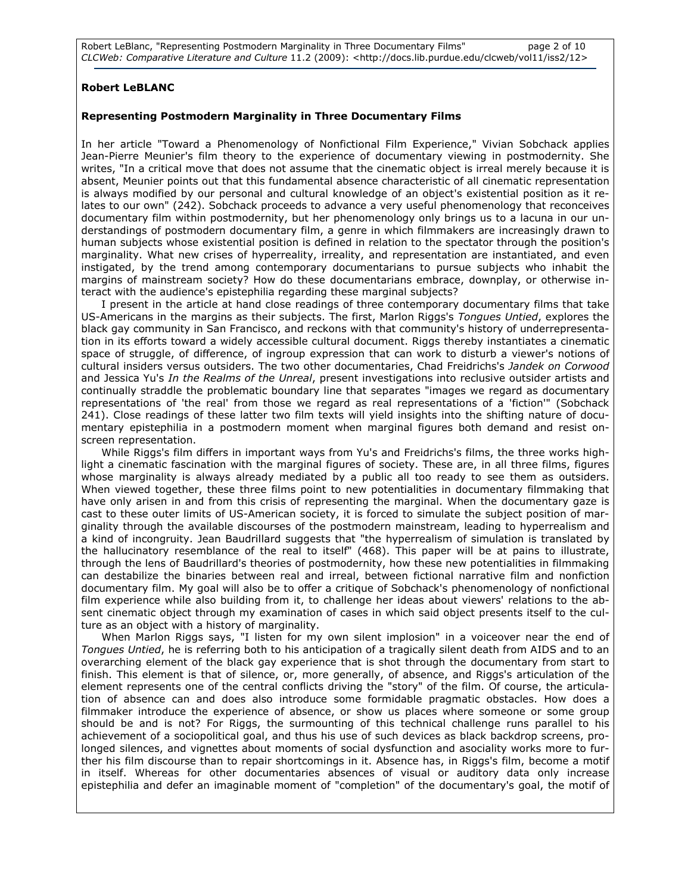Robert LeBlanc, "Representing Postmodern Marginality in Three Documentary Films" page 2 of 10 CLCWeb: Comparative Literature and Culture 11.2 (2009): <http://docs.lib.purdue.edu/clcweb/vol11/iss2/12>

#### Robert LeBLANC

#### Representing Postmodern Marginality in Three Documentary Films

In her article "Toward a Phenomenology of Nonfictional Film Experience," Vivian Sobchack applies Jean-Pierre Meunier's film theory to the experience of documentary viewing in postmodernity. She writes, "In a critical move that does not assume that the cinematic object is irreal merely because it is absent, Meunier points out that this fundamental absence characteristic of all cinematic representation is always modified by our personal and cultural knowledge of an object's existential position as it relates to our own" (242). Sobchack proceeds to advance a very useful phenomenology that reconceives documentary film within postmodernity, but her phenomenology only brings us to a lacuna in our understandings of postmodern documentary film, a genre in which filmmakers are increasingly drawn to human subjects whose existential position is defined in relation to the spectator through the position's marginality. What new crises of hyperreality, irreality, and representation are instantiated, and even instigated, by the trend among contemporary documentarians to pursue subjects who inhabit the margins of mainstream society? How do these documentarians embrace, downplay, or otherwise interact with the audience's epistephilia regarding these marginal subjects?

I present in the article at hand close readings of three contemporary documentary films that take US-Americans in the margins as their subjects. The first, Marlon Riggs's Tongues Untied, explores the black gay community in San Francisco, and reckons with that community's history of underrepresentation in its efforts toward a widely accessible cultural document. Riggs thereby instantiates a cinematic space of struggle, of difference, of ingroup expression that can work to disturb a viewer's notions of cultural insiders versus outsiders. The two other documentaries, Chad Freidrichs's Jandek on Corwood and Jessica Yu's In the Realms of the Unreal, present investigations into reclusive outsider artists and continually straddle the problematic boundary line that separates "images we regard as documentary representations of 'the real' from those we regard as real representations of a 'fiction'" (Sobchack 241). Close readings of these latter two film texts will yield insights into the shifting nature of documentary epistephilia in a postmodern moment when marginal figures both demand and resist onscreen representation.

While Riggs's film differs in important ways from Yu's and Freidrichs's films, the three works highlight a cinematic fascination with the marginal figures of society. These are, in all three films, figures whose marginality is always already mediated by a public all too ready to see them as outsiders. When viewed together, these three films point to new potentialities in documentary filmmaking that have only arisen in and from this crisis of representing the marginal. When the documentary gaze is cast to these outer limits of US-American society, it is forced to simulate the subject position of marginality through the available discourses of the postmodern mainstream, leading to hyperrealism and a kind of incongruity. Jean Baudrillard suggests that "the hyperrealism of simulation is translated by the hallucinatory resemblance of the real to itself" (468). This paper will be at pains to illustrate, through the lens of Baudrillard's theories of postmodernity, how these new potentialities in filmmaking can destabilize the binaries between real and irreal, between fictional narrative film and nonfiction documentary film. My goal will also be to offer a critique of Sobchack's phenomenology of nonfictional film experience while also building from it, to challenge her ideas about viewers' relations to the absent cinematic object through my examination of cases in which said object presents itself to the culture as an object with a history of marginality.

When Marlon Riggs says, "I listen for my own silent implosion" in a voiceover near the end of Tongues Untied, he is referring both to his anticipation of a tragically silent death from AIDS and to an overarching element of the black gay experience that is shot through the documentary from start to finish. This element is that of silence, or, more generally, of absence, and Riggs's articulation of the element represents one of the central conflicts driving the "story" of the film. Of course, the articulation of absence can and does also introduce some formidable pragmatic obstacles. How does a filmmaker introduce the experience of absence, or show us places where someone or some group should be and is not? For Riggs, the surmounting of this technical challenge runs parallel to his achievement of a sociopolitical goal, and thus his use of such devices as black backdrop screens, prolonged silences, and vignettes about moments of social dysfunction and asociality works more to further his film discourse than to repair shortcomings in it. Absence has, in Riggs's film, become a motif in itself. Whereas for other documentaries absences of visual or auditory data only increase epistephilia and defer an imaginable moment of "completion" of the documentary's goal, the motif of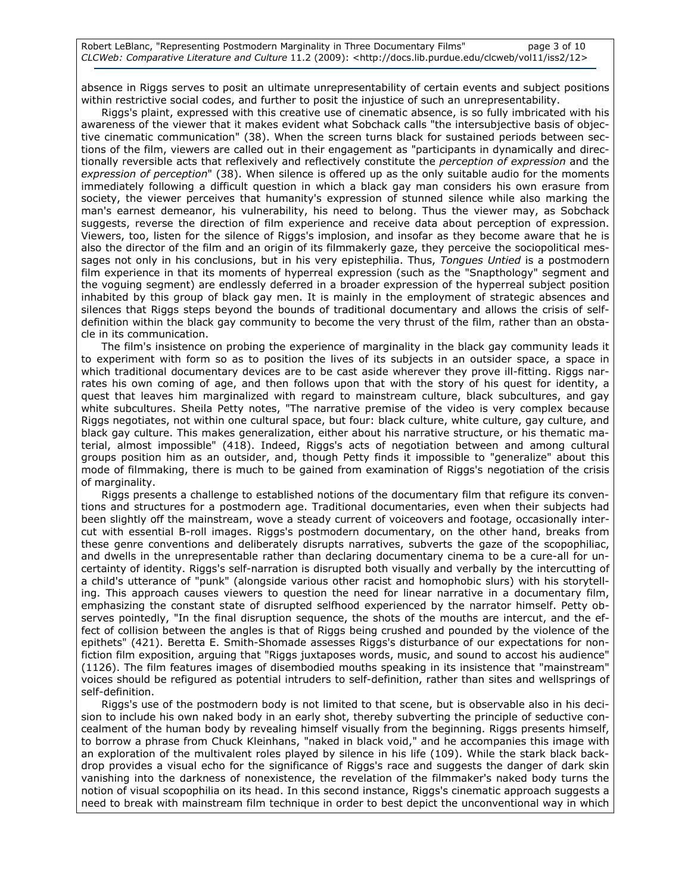absence in Riggs serves to posit an ultimate unrepresentability of certain events and subject positions within restrictive social codes, and further to posit the injustice of such an unrepresentability.

Riggs's plaint, expressed with this creative use of cinematic absence, is so fully imbricated with his awareness of the viewer that it makes evident what Sobchack calls "the intersubjective basis of objective cinematic communication" (38). When the screen turns black for sustained periods between sections of the film, viewers are called out in their engagement as "participants in dynamically and directionally reversible acts that reflexively and reflectively constitute the perception of expression and the expression of perception" (38). When silence is offered up as the only suitable audio for the moments immediately following a difficult question in which a black gay man considers his own erasure from society, the viewer perceives that humanity's expression of stunned silence while also marking the man's earnest demeanor, his vulnerability, his need to belong. Thus the viewer may, as Sobchack suggests, reverse the direction of film experience and receive data about perception of expression. Viewers, too, listen for the silence of Riggs's implosion, and insofar as they become aware that he is also the director of the film and an origin of its filmmakerly gaze, they perceive the sociopolitical messages not only in his conclusions, but in his very epistephilia. Thus, Tongues Untied is a postmodern film experience in that its moments of hyperreal expression (such as the "Snapthology" segment and the voguing segment) are endlessly deferred in a broader expression of the hyperreal subject position inhabited by this group of black gay men. It is mainly in the employment of strategic absences and silences that Riggs steps beyond the bounds of traditional documentary and allows the crisis of selfdefinition within the black gay community to become the very thrust of the film, rather than an obstacle in its communication.

The film's insistence on probing the experience of marginality in the black gay community leads it to experiment with form so as to position the lives of its subjects in an outsider space, a space in which traditional documentary devices are to be cast aside wherever they prove ill-fitting. Riggs narrates his own coming of age, and then follows upon that with the story of his quest for identity, a quest that leaves him marginalized with regard to mainstream culture, black subcultures, and gay white subcultures. Sheila Petty notes, "The narrative premise of the video is very complex because Riggs negotiates, not within one cultural space, but four: black culture, white culture, gay culture, and black gay culture. This makes generalization, either about his narrative structure, or his thematic material, almost impossible" (418). Indeed, Riggs's acts of negotiation between and among cultural groups position him as an outsider, and, though Petty finds it impossible to "generalize" about this mode of filmmaking, there is much to be gained from examination of Riggs's negotiation of the crisis of marginality.

Riggs presents a challenge to established notions of the documentary film that refigure its conventions and structures for a postmodern age. Traditional documentaries, even when their subjects had been slightly off the mainstream, wove a steady current of voiceovers and footage, occasionally intercut with essential B-roll images. Riggs's postmodern documentary, on the other hand, breaks from these genre conventions and deliberately disrupts narratives, subverts the gaze of the scopophiliac, and dwells in the unrepresentable rather than declaring documentary cinema to be a cure-all for uncertainty of identity. Riggs's self-narration is disrupted both visually and verbally by the intercutting of a child's utterance of "punk" (alongside various other racist and homophobic slurs) with his storytelling. This approach causes viewers to question the need for linear narrative in a documentary film, emphasizing the constant state of disrupted selfhood experienced by the narrator himself. Petty observes pointedly, "In the final disruption sequence, the shots of the mouths are intercut, and the effect of collision between the angles is that of Riggs being crushed and pounded by the violence of the epithets" (421). Beretta E. Smith-Shomade assesses Riggs's disturbance of our expectations for nonfiction film exposition, arguing that "Riggs juxtaposes words, music, and sound to accost his audience" (1126). The film features images of disembodied mouths speaking in its insistence that "mainstream" voices should be refigured as potential intruders to self-definition, rather than sites and wellsprings of self-definition.

Riggs's use of the postmodern body is not limited to that scene, but is observable also in his decision to include his own naked body in an early shot, thereby subverting the principle of seductive concealment of the human body by revealing himself visually from the beginning. Riggs presents himself, to borrow a phrase from Chuck Kleinhans, "naked in black void," and he accompanies this image with an exploration of the multivalent roles played by silence in his life (109). While the stark black backdrop provides a visual echo for the significance of Riggs's race and suggests the danger of dark skin vanishing into the darkness of nonexistence, the revelation of the filmmaker's naked body turns the notion of visual scopophilia on its head. In this second instance, Riggs's cinematic approach suggests a need to break with mainstream film technique in order to best depict the unconventional way in which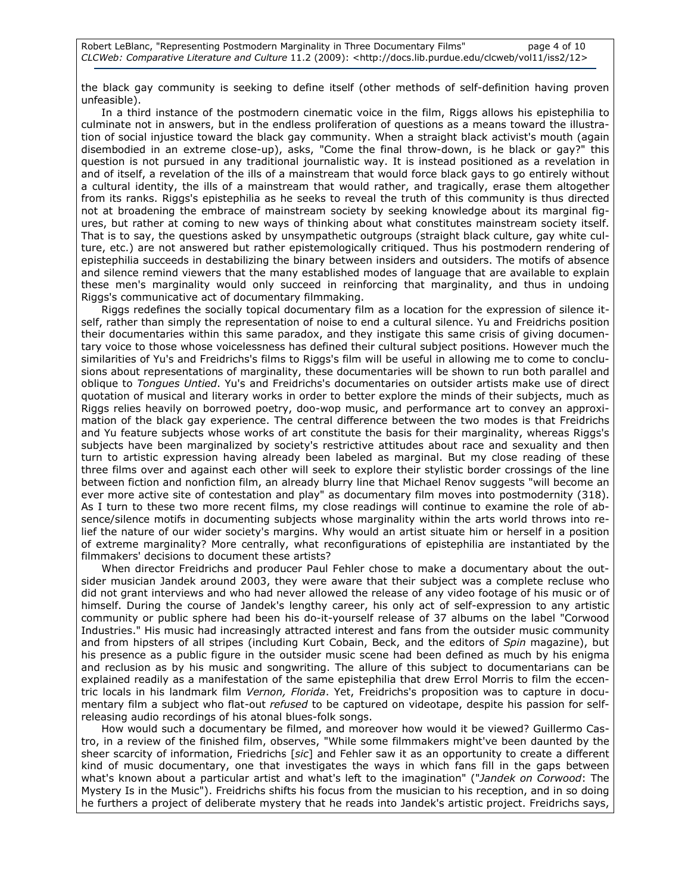the black gay community is seeking to define itself (other methods of self-definition having proven unfeasible).

In a third instance of the postmodern cinematic voice in the film, Riggs allows his epistephilia to culminate not in answers, but in the endless proliferation of questions as a means toward the illustration of social injustice toward the black gay community. When a straight black activist's mouth (again disembodied in an extreme close-up), asks, "Come the final throw-down, is he black or gay?" this question is not pursued in any traditional journalistic way. It is instead positioned as a revelation in and of itself, a revelation of the ills of a mainstream that would force black gays to go entirely without a cultural identity, the ills of a mainstream that would rather, and tragically, erase them altogether from its ranks. Riggs's epistephilia as he seeks to reveal the truth of this community is thus directed not at broadening the embrace of mainstream society by seeking knowledge about its marginal figures, but rather at coming to new ways of thinking about what constitutes mainstream society itself. That is to say, the questions asked by unsympathetic outgroups (straight black culture, gay white culture, etc.) are not answered but rather epistemologically critiqued. Thus his postmodern rendering of epistephilia succeeds in destabilizing the binary between insiders and outsiders. The motifs of absence and silence remind viewers that the many established modes of language that are available to explain these men's marginality would only succeed in reinforcing that marginality, and thus in undoing Riggs's communicative act of documentary filmmaking.

Riggs redefines the socially topical documentary film as a location for the expression of silence itself, rather than simply the representation of noise to end a cultural silence. Yu and Freidrichs position their documentaries within this same paradox, and they instigate this same crisis of giving documentary voice to those whose voicelessness has defined their cultural subject positions. However much the similarities of Yu's and Freidrichs's films to Riggs's film will be useful in allowing me to come to conclusions about representations of marginality, these documentaries will be shown to run both parallel and oblique to Tongues Untied. Yu's and Freidrichs's documentaries on outsider artists make use of direct quotation of musical and literary works in order to better explore the minds of their subjects, much as Riggs relies heavily on borrowed poetry, doo-wop music, and performance art to convey an approximation of the black gay experience. The central difference between the two modes is that Freidrichs and Yu feature subjects whose works of art constitute the basis for their marginality, whereas Riggs's subjects have been marginalized by society's restrictive attitudes about race and sexuality and then turn to artistic expression having already been labeled as marginal. But my close reading of these three films over and against each other will seek to explore their stylistic border crossings of the line between fiction and nonfiction film, an already blurry line that Michael Renov suggests "will become an ever more active site of contestation and play" as documentary film moves into postmodernity (318). As I turn to these two more recent films, my close readings will continue to examine the role of absence/silence motifs in documenting subjects whose marginality within the arts world throws into relief the nature of our wider society's margins. Why would an artist situate him or herself in a position of extreme marginality? More centrally, what reconfigurations of epistephilia are instantiated by the filmmakers' decisions to document these artists?

When director Freidrichs and producer Paul Fehler chose to make a documentary about the outsider musician Jandek around 2003, they were aware that their subject was a complete recluse who did not grant interviews and who had never allowed the release of any video footage of his music or of himself. During the course of Jandek's lengthy career, his only act of self-expression to any artistic community or public sphere had been his do-it-yourself release of 37 albums on the label "Corwood Industries." His music had increasingly attracted interest and fans from the outsider music community and from hipsters of all stripes (including Kurt Cobain, Beck, and the editors of Spin magazine), but his presence as a public figure in the outsider music scene had been defined as much by his enigma and reclusion as by his music and songwriting. The allure of this subject to documentarians can be explained readily as a manifestation of the same epistephilia that drew Errol Morris to film the eccentric locals in his landmark film Vernon, Florida. Yet, Freidrichs's proposition was to capture in documentary film a subject who flat-out refused to be captured on videotape, despite his passion for selfreleasing audio recordings of his atonal blues-folk songs.

How would such a documentary be filmed, and moreover how would it be viewed? Guillermo Castro, in a review of the finished film, observes, "While some filmmakers might've been daunted by the sheer scarcity of information, Friedrichs [sic] and Fehler saw it as an opportunity to create a different kind of music documentary, one that investigates the ways in which fans fill in the gaps between what's known about a particular artist and what's left to the imagination" ("Jandek on Corwood: The Mystery Is in the Music"). Freidrichs shifts his focus from the musician to his reception, and in so doing he furthers a project of deliberate mystery that he reads into Jandek's artistic project. Freidrichs says,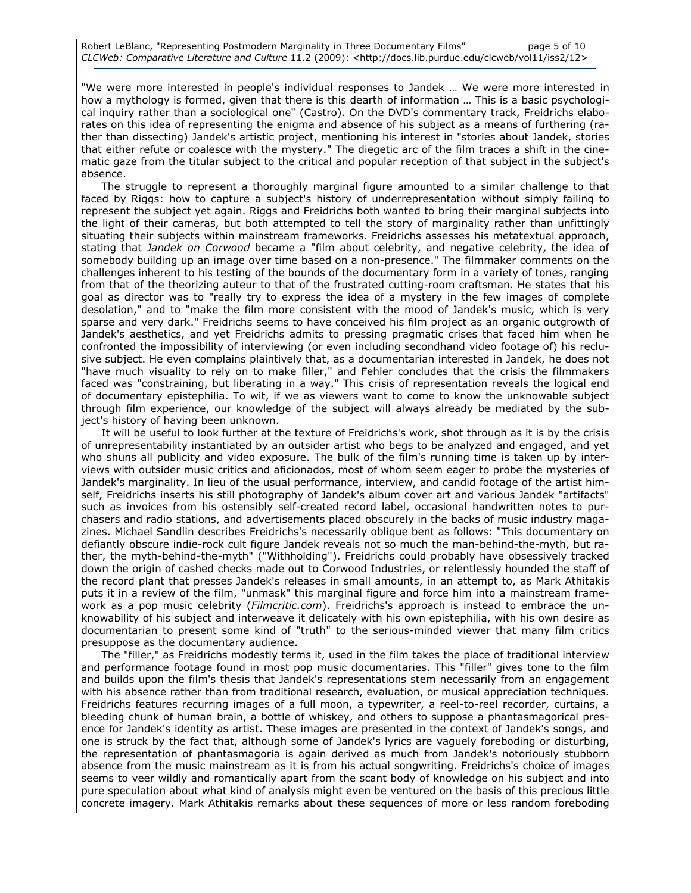"We were more interested in people's individual responses to Jandek … We were more interested in how a mythology is formed, given that there is this dearth of information … This is a basic psychological inquiry rather than a sociological one" (Castro). On the DVD's commentary track, Freidrichs elaborates on this idea of representing the enigma and absence of his subject as a means of furthering (rather than dissecting) Jandek's artistic project, mentioning his interest in "stories about Jandek, stories that either refute or coalesce with the mystery." The diegetic arc of the film traces a shift in the cinematic gaze from the titular subject to the critical and popular reception of that subject in the subject's absence.

The struggle to represent a thoroughly marginal figure amounted to a similar challenge to that faced by Riggs: how to capture a subject's history of underrepresentation without simply failing to represent the subject yet again. Riggs and Freidrichs both wanted to bring their marginal subjects into the light of their cameras, but both attempted to tell the story of marginality rather than unfittingly situating their subjects within mainstream frameworks. Freidrichs assesses his metatextual approach, stating that Jandek on Corwood became a "film about celebrity, and negative celebrity, the idea of somebody building up an image over time based on a non-presence." The filmmaker comments on the challenges inherent to his testing of the bounds of the documentary form in a variety of tones, ranging from that of the theorizing auteur to that of the frustrated cutting-room craftsman. He states that his goal as director was to "really try to express the idea of a mystery in the few images of complete desolation," and to "make the film more consistent with the mood of Jandek's music, which is very sparse and very dark." Freidrichs seems to have conceived his film project as an organic outgrowth of Jandek's aesthetics, and yet Freidrichs admits to pressing pragmatic crises that faced him when he confronted the impossibility of interviewing (or even including secondhand video footage of) his reclusive subject. He even complains plaintively that, as a documentarian interested in Jandek, he does not "have much visuality to rely on to make filler," and Fehler concludes that the crisis the filmmakers faced was "constraining, but liberating in a way." This crisis of representation reveals the logical end of documentary epistephilia. To wit, if we as viewers want to come to know the unknowable subject through film experience, our knowledge of the subject will always already be mediated by the subject's history of having been unknown.

It will be useful to look further at the texture of Freidrichs's work, shot through as it is by the crisis of unrepresentability instantiated by an outsider artist who begs to be analyzed and engaged, and yet who shuns all publicity and video exposure. The bulk of the film's running time is taken up by interviews with outsider music critics and aficionados, most of whom seem eager to probe the mysteries of Jandek's marginality. In lieu of the usual performance, interview, and candid footage of the artist himself, Freidrichs inserts his still photography of Jandek's album cover art and various Jandek "artifacts" such as invoices from his ostensibly self-created record label, occasional handwritten notes to purchasers and radio stations, and advertisements placed obscurely in the backs of music industry magazines. Michael Sandlin describes Freidrichs's necessarily oblique bent as follows: "This documentary on defiantly obscure indie-rock cult figure Jandek reveals not so much the man-behind-the-myth, but rather, the myth-behind-the-myth" ("Withholding"). Freidrichs could probably have obsessively tracked down the origin of cashed checks made out to Corwood Industries, or relentlessly hounded the staff of the record plant that presses Jandek's releases in small amounts, in an attempt to, as Mark Athitakis puts it in a review of the film, "unmask" this marginal figure and force him into a mainstream framework as a pop music celebrity (Filmcritic.com). Freidrichs's approach is instead to embrace the unknowability of his subject and interweave it delicately with his own epistephilia, with his own desire as documentarian to present some kind of "truth" to the serious-minded viewer that many film critics presuppose as the documentary audience.

The "filler," as Freidrichs modestly terms it, used in the film takes the place of traditional interview and performance footage found in most pop music documentaries. This "filler" gives tone to the film and builds upon the film's thesis that Jandek's representations stem necessarily from an engagement with his absence rather than from traditional research, evaluation, or musical appreciation techniques. Freidrichs features recurring images of a full moon, a typewriter, a reel-to-reel recorder, curtains, a bleeding chunk of human brain, a bottle of whiskey, and others to suppose a phantasmagorical presence for Jandek's identity as artist. These images are presented in the context of Jandek's songs, and one is struck by the fact that, although some of Jandek's lyrics are vaguely foreboding or disturbing, the representation of phantasmagoria is again derived as much from Jandek's notoriously stubborn absence from the music mainstream as it is from his actual songwriting. Freidrichs's choice of images seems to veer wildly and romantically apart from the scant body of knowledge on his subject and into pure speculation about what kind of analysis might even be ventured on the basis of this precious little concrete imagery. Mark Athitakis remarks about these sequences of more or less random foreboding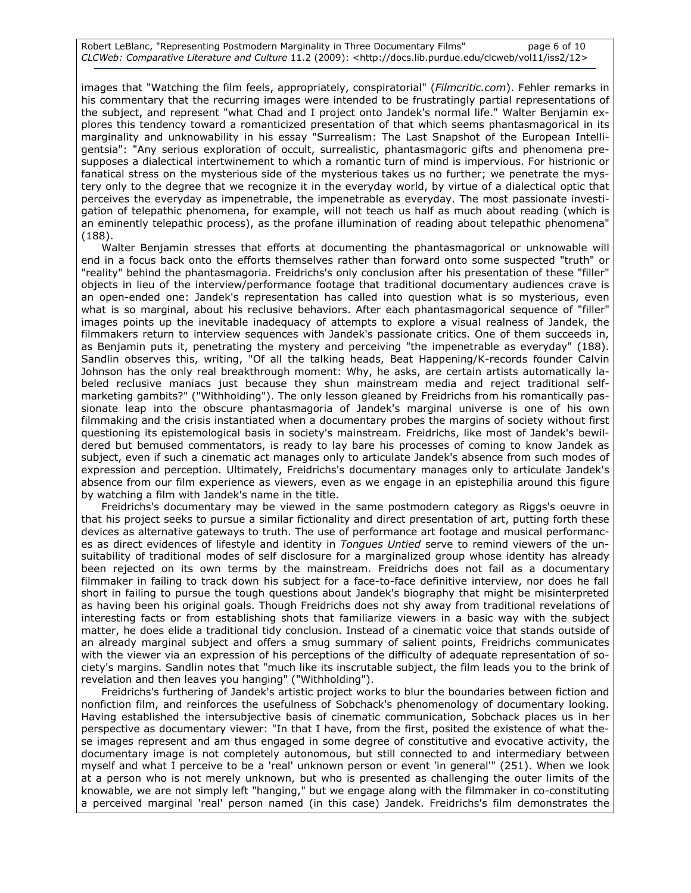images that "Watching the film feels, appropriately, conspiratorial" (Filmcritic.com). Fehler remarks in his commentary that the recurring images were intended to be frustratingly partial representations of the subject, and represent "what Chad and I project onto Jandek's normal life." Walter Benjamin explores this tendency toward a romanticized presentation of that which seems phantasmagorical in its marginality and unknowability in his essay "Surrealism: The Last Snapshot of the European Intelligentsia": "Any serious exploration of occult, surrealistic, phantasmagoric gifts and phenomena presupposes a dialectical intertwinement to which a romantic turn of mind is impervious. For histrionic or fanatical stress on the mysterious side of the mysterious takes us no further; we penetrate the mystery only to the degree that we recognize it in the everyday world, by virtue of a dialectical optic that perceives the everyday as impenetrable, the impenetrable as everyday. The most passionate investigation of telepathic phenomena, for example, will not teach us half as much about reading (which is an eminently telepathic process), as the profane illumination of reading about telepathic phenomena" (188).

Walter Benjamin stresses that efforts at documenting the phantasmagorical or unknowable will end in a focus back onto the efforts themselves rather than forward onto some suspected "truth" or "reality" behind the phantasmagoria. Freidrichs's only conclusion after his presentation of these "filler" objects in lieu of the interview/performance footage that traditional documentary audiences crave is an open-ended one: Jandek's representation has called into question what is so mysterious, even what is so marginal, about his reclusive behaviors. After each phantasmagorical sequence of "filler" images points up the inevitable inadequacy of attempts to explore a visual realness of Jandek, the filmmakers return to interview sequences with Jandek's passionate critics. One of them succeeds in, as Benjamin puts it, penetrating the mystery and perceiving "the impenetrable as everyday" (188). Sandlin observes this, writing, "Of all the talking heads, Beat Happening/K-records founder Calvin Johnson has the only real breakthrough moment: Why, he asks, are certain artists automatically labeled reclusive maniacs just because they shun mainstream media and reject traditional selfmarketing gambits?" ("Withholding"). The only lesson gleaned by Freidrichs from his romantically passionate leap into the obscure phantasmagoria of Jandek's marginal universe is one of his own filmmaking and the crisis instantiated when a documentary probes the margins of society without first questioning its epistemological basis in society's mainstream. Freidrichs, like most of Jandek's bewildered but bemused commentators, is ready to lay bare his processes of coming to know Jandek as subject, even if such a cinematic act manages only to articulate Jandek's absence from such modes of expression and perception. Ultimately, Freidrichs's documentary manages only to articulate Jandek's absence from our film experience as viewers, even as we engage in an epistephilia around this figure by watching a film with Jandek's name in the title.

Freidrichs's documentary may be viewed in the same postmodern category as Riggs's oeuvre in that his project seeks to pursue a similar fictionality and direct presentation of art, putting forth these devices as alternative gateways to truth. The use of performance art footage and musical performances as direct evidences of lifestyle and identity in Tongues Untied serve to remind viewers of the unsuitability of traditional modes of self disclosure for a marginalized group whose identity has already been rejected on its own terms by the mainstream. Freidrichs does not fail as a documentary filmmaker in failing to track down his subject for a face-to-face definitive interview, nor does he fall short in failing to pursue the tough questions about Jandek's biography that might be misinterpreted as having been his original goals. Though Freidrichs does not shy away from traditional revelations of interesting facts or from establishing shots that familiarize viewers in a basic way with the subject matter, he does elide a traditional tidy conclusion. Instead of a cinematic voice that stands outside of an already marginal subject and offers a smug summary of salient points, Freidrichs communicates with the viewer via an expression of his perceptions of the difficulty of adequate representation of society's margins. Sandlin notes that "much like its inscrutable subject, the film leads you to the brink of revelation and then leaves you hanging" ("Withholding").

Freidrichs's furthering of Jandek's artistic project works to blur the boundaries between fiction and nonfiction film, and reinforces the usefulness of Sobchack's phenomenology of documentary looking. Having established the intersubjective basis of cinematic communication, Sobchack places us in her perspective as documentary viewer: "In that I have, from the first, posited the existence of what these images represent and am thus engaged in some degree of constitutive and evocative activity, the documentary image is not completely autonomous, but still connected to and intermediary between myself and what I perceive to be a 'real' unknown person or event 'in general'" (251). When we look at a person who is not merely unknown, but who is presented as challenging the outer limits of the knowable, we are not simply left "hanging," but we engage along with the filmmaker in co-constituting a perceived marginal 'real' person named (in this case) Jandek. Freidrichs's film demonstrates the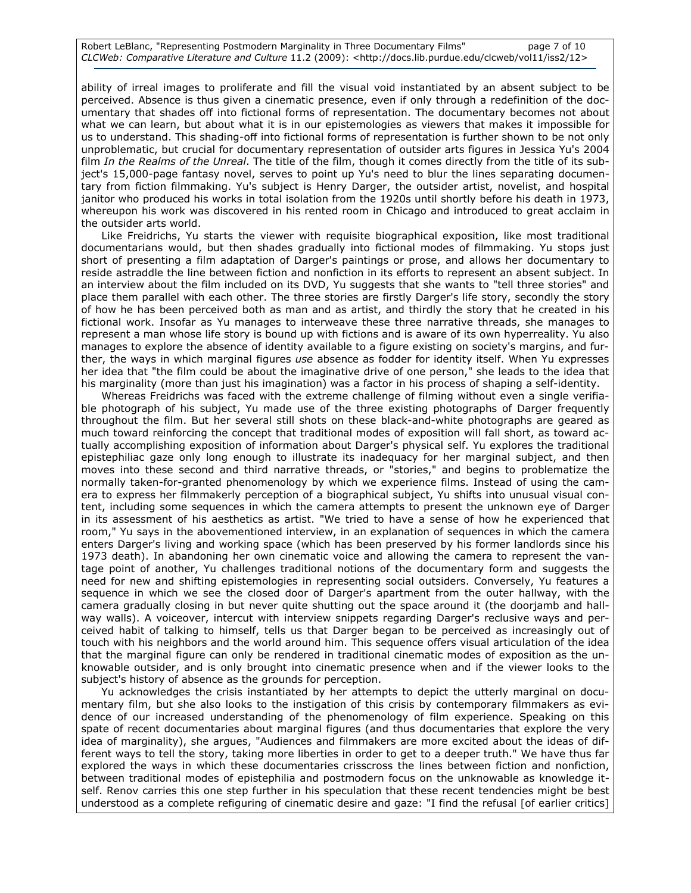Robert LeBlanc, "Representing Postmodern Marginality in Three Documentary Films" page 7 of 10 CLCWeb: Comparative Literature and Culture 11.2 (2009): <http://docs.lib.purdue.edu/clcweb/vol11/iss2/12>

ability of irreal images to proliferate and fill the visual void instantiated by an absent subject to be perceived. Absence is thus given a cinematic presence, even if only through a redefinition of the documentary that shades off into fictional forms of representation. The documentary becomes not about what we can learn, but about what it is in our epistemologies as viewers that makes it impossible for us to understand. This shading-off into fictional forms of representation is further shown to be not only unproblematic, but crucial for documentary representation of outsider arts figures in Jessica Yu's 2004 film In the Realms of the Unreal. The title of the film, though it comes directly from the title of its subject's 15,000-page fantasy novel, serves to point up Yu's need to blur the lines separating documentary from fiction filmmaking. Yu's subject is Henry Darger, the outsider artist, novelist, and hospital janitor who produced his works in total isolation from the 1920s until shortly before his death in 1973, whereupon his work was discovered in his rented room in Chicago and introduced to great acclaim in the outsider arts world.

Like Freidrichs, Yu starts the viewer with requisite biographical exposition, like most traditional documentarians would, but then shades gradually into fictional modes of filmmaking. Yu stops just short of presenting a film adaptation of Darger's paintings or prose, and allows her documentary to reside astraddle the line between fiction and nonfiction in its efforts to represent an absent subject. In an interview about the film included on its DVD, Yu suggests that she wants to "tell three stories" and place them parallel with each other. The three stories are firstly Darger's life story, secondly the story of how he has been perceived both as man and as artist, and thirdly the story that he created in his fictional work. Insofar as Yu manages to interweave these three narrative threads, she manages to represent a man whose life story is bound up with fictions and is aware of its own hyperreality. Yu also manages to explore the absence of identity available to a figure existing on society's margins, and further, the ways in which marginal figures use absence as fodder for identity itself. When Yu expresses her idea that "the film could be about the imaginative drive of one person," she leads to the idea that his marginality (more than just his imagination) was a factor in his process of shaping a self-identity.

Whereas Freidrichs was faced with the extreme challenge of filming without even a single verifiable photograph of his subject, Yu made use of the three existing photographs of Darger frequently throughout the film. But her several still shots on these black-and-white photographs are geared as much toward reinforcing the concept that traditional modes of exposition will fall short, as toward actually accomplishing exposition of information about Darger's physical self. Yu explores the traditional epistephiliac gaze only long enough to illustrate its inadequacy for her marginal subject, and then moves into these second and third narrative threads, or "stories," and begins to problematize the normally taken-for-granted phenomenology by which we experience films. Instead of using the camera to express her filmmakerly perception of a biographical subject, Yu shifts into unusual visual content, including some sequences in which the camera attempts to present the unknown eye of Darger in its assessment of his aesthetics as artist. "We tried to have a sense of how he experienced that room," Yu says in the abovementioned interview, in an explanation of sequences in which the camera enters Darger's living and working space (which has been preserved by his former landlords since his 1973 death). In abandoning her own cinematic voice and allowing the camera to represent the vantage point of another, Yu challenges traditional notions of the documentary form and suggests the need for new and shifting epistemologies in representing social outsiders. Conversely, Yu features a sequence in which we see the closed door of Darger's apartment from the outer hallway, with the camera gradually closing in but never quite shutting out the space around it (the doorjamb and hallway walls). A voiceover, intercut with interview snippets regarding Darger's reclusive ways and perceived habit of talking to himself, tells us that Darger began to be perceived as increasingly out of touch with his neighbors and the world around him. This sequence offers visual articulation of the idea that the marginal figure can only be rendered in traditional cinematic modes of exposition as the unknowable outsider, and is only brought into cinematic presence when and if the viewer looks to the subject's history of absence as the grounds for perception.

Yu acknowledges the crisis instantiated by her attempts to depict the utterly marginal on documentary film, but she also looks to the instigation of this crisis by contemporary filmmakers as evidence of our increased understanding of the phenomenology of film experience. Speaking on this spate of recent documentaries about marginal figures (and thus documentaries that explore the very idea of marginality), she argues, "Audiences and filmmakers are more excited about the ideas of different ways to tell the story, taking more liberties in order to get to a deeper truth." We have thus far explored the ways in which these documentaries crisscross the lines between fiction and nonfiction, between traditional modes of epistephilia and postmodern focus on the unknowable as knowledge itself. Renov carries this one step further in his speculation that these recent tendencies might be best understood as a complete refiguring of cinematic desire and gaze: "I find the refusal [of earlier critics]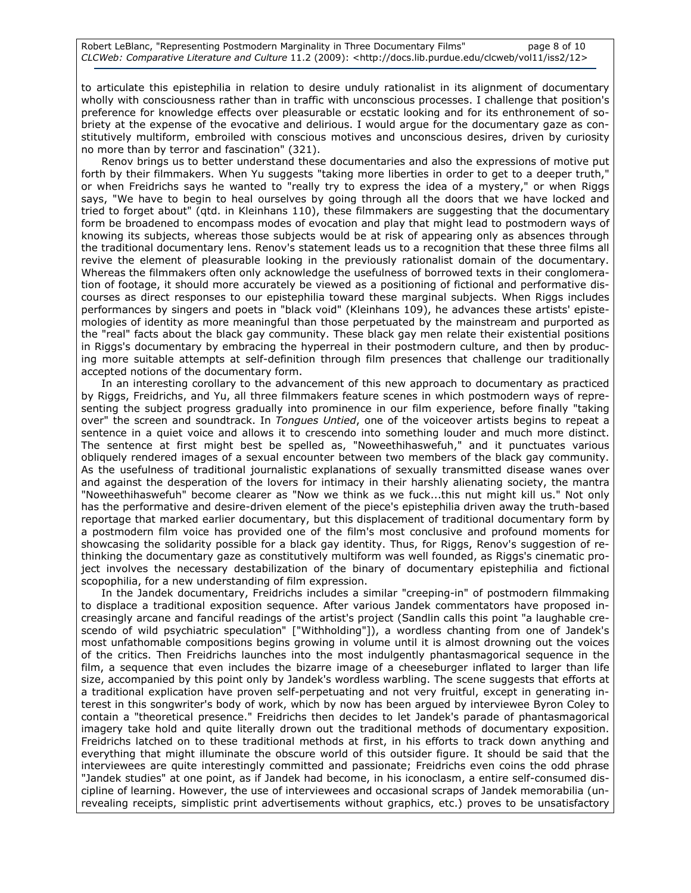to articulate this epistephilia in relation to desire unduly rationalist in its alignment of documentary wholly with consciousness rather than in traffic with unconscious processes. I challenge that position's preference for knowledge effects over pleasurable or ecstatic looking and for its enthronement of sobriety at the expense of the evocative and delirious. I would argue for the documentary gaze as constitutively multiform, embroiled with conscious motives and unconscious desires, driven by curiosity no more than by terror and fascination" (321).

Renov brings us to better understand these documentaries and also the expressions of motive put forth by their filmmakers. When Yu suggests "taking more liberties in order to get to a deeper truth," or when Freidrichs says he wanted to "really try to express the idea of a mystery," or when Riggs says, "We have to begin to heal ourselves by going through all the doors that we have locked and tried to forget about" (qtd. in Kleinhans 110), these filmmakers are suggesting that the documentary form be broadened to encompass modes of evocation and play that might lead to postmodern ways of knowing its subjects, whereas those subjects would be at risk of appearing only as absences through the traditional documentary lens. Renov's statement leads us to a recognition that these three films all revive the element of pleasurable looking in the previously rationalist domain of the documentary. Whereas the filmmakers often only acknowledge the usefulness of borrowed texts in their conglomeration of footage, it should more accurately be viewed as a positioning of fictional and performative discourses as direct responses to our epistephilia toward these marginal subjects. When Riggs includes performances by singers and poets in "black void" (Kleinhans 109), he advances these artists' epistemologies of identity as more meaningful than those perpetuated by the mainstream and purported as the "real" facts about the black gay community. These black gay men relate their existential positions in Riggs's documentary by embracing the hyperreal in their postmodern culture, and then by producing more suitable attempts at self-definition through film presences that challenge our traditionally accepted notions of the documentary form.

In an interesting corollary to the advancement of this new approach to documentary as practiced by Riggs, Freidrichs, and Yu, all three filmmakers feature scenes in which postmodern ways of representing the subject progress gradually into prominence in our film experience, before finally "taking over" the screen and soundtrack. In Tongues Untied, one of the voiceover artists begins to repeat a sentence in a quiet voice and allows it to crescendo into something louder and much more distinct. The sentence at first might best be spelled as, "Noweethihaswefuh," and it punctuates various obliquely rendered images of a sexual encounter between two members of the black gay community. As the usefulness of traditional journalistic explanations of sexually transmitted disease wanes over and against the desperation of the lovers for intimacy in their harshly alienating society, the mantra "Noweethihaswefuh" become clearer as "Now we think as we fuck...this nut might kill us." Not only has the performative and desire-driven element of the piece's epistephilia driven away the truth-based reportage that marked earlier documentary, but this displacement of traditional documentary form by a postmodern film voice has provided one of the film's most conclusive and profound moments for showcasing the solidarity possible for a black gay identity. Thus, for Riggs, Renov's suggestion of rethinking the documentary gaze as constitutively multiform was well founded, as Riggs's cinematic project involves the necessary destabilization of the binary of documentary epistephilia and fictional scopophilia, for a new understanding of film expression.

In the Jandek documentary, Freidrichs includes a similar "creeping-in" of postmodern filmmaking to displace a traditional exposition sequence. After various Jandek commentators have proposed increasingly arcane and fanciful readings of the artist's project (Sandlin calls this point "a laughable crescendo of wild psychiatric speculation" ["Withholding"]), a wordless chanting from one of Jandek's most unfathomable compositions begins growing in volume until it is almost drowning out the voices of the critics. Then Freidrichs launches into the most indulgently phantasmagorical sequence in the film, a sequence that even includes the bizarre image of a cheeseburger inflated to larger than life size, accompanied by this point only by Jandek's wordless warbling. The scene suggests that efforts at a traditional explication have proven self-perpetuating and not very fruitful, except in generating interest in this songwriter's body of work, which by now has been argued by interviewee Byron Coley to contain a "theoretical presence." Freidrichs then decides to let Jandek's parade of phantasmagorical imagery take hold and quite literally drown out the traditional methods of documentary exposition. Freidrichs latched on to these traditional methods at first, in his efforts to track down anything and everything that might illuminate the obscure world of this outsider figure. It should be said that the interviewees are quite interestingly committed and passionate; Freidrichs even coins the odd phrase "Jandek studies" at one point, as if Jandek had become, in his iconoclasm, a entire self-consumed discipline of learning. However, the use of interviewees and occasional scraps of Jandek memorabilia (unrevealing receipts, simplistic print advertisements without graphics, etc.) proves to be unsatisfactory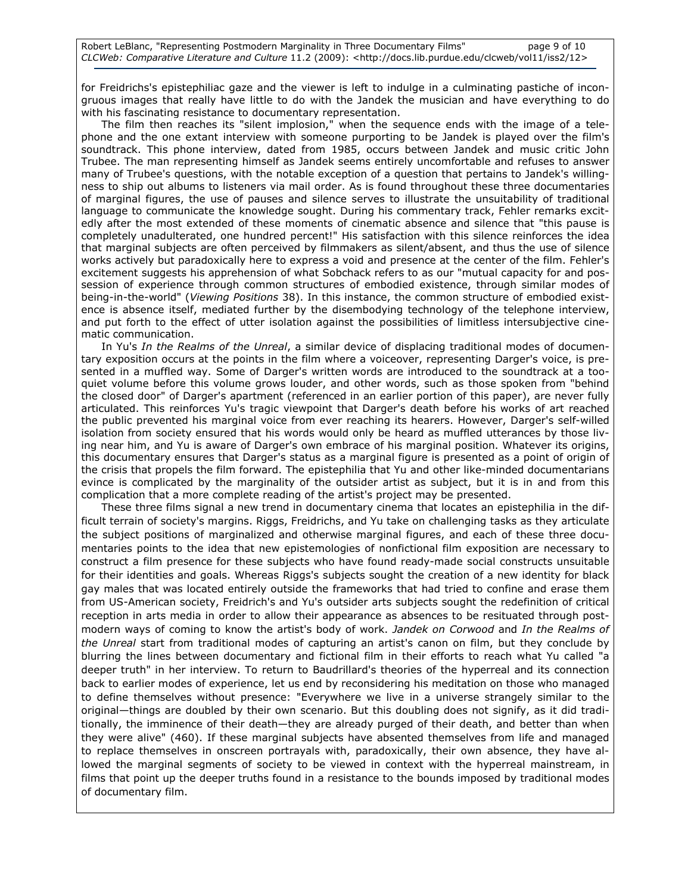for Freidrichs's epistephiliac gaze and the viewer is left to indulge in a culminating pastiche of incongruous images that really have little to do with the Jandek the musician and have everything to do with his fascinating resistance to documentary representation.

The film then reaches its "silent implosion," when the sequence ends with the image of a telephone and the one extant interview with someone purporting to be Jandek is played over the film's soundtrack. This phone interview, dated from 1985, occurs between Jandek and music critic John Trubee. The man representing himself as Jandek seems entirely uncomfortable and refuses to answer many of Trubee's questions, with the notable exception of a question that pertains to Jandek's willingness to ship out albums to listeners via mail order. As is found throughout these three documentaries of marginal figures, the use of pauses and silence serves to illustrate the unsuitability of traditional language to communicate the knowledge sought. During his commentary track, Fehler remarks excitedly after the most extended of these moments of cinematic absence and silence that "this pause is completely unadulterated, one hundred percent!" His satisfaction with this silence reinforces the idea that marginal subjects are often perceived by filmmakers as silent/absent, and thus the use of silence works actively but paradoxically here to express a void and presence at the center of the film. Fehler's excitement suggests his apprehension of what Sobchack refers to as our "mutual capacity for and possession of experience through common structures of embodied existence, through similar modes of being-in-the-world" (Viewing Positions 38). In this instance, the common structure of embodied existence is absence itself, mediated further by the disembodying technology of the telephone interview, and put forth to the effect of utter isolation against the possibilities of limitless intersubjective cinematic communication.

In Yu's In the Realms of the Unreal, a similar device of displacing traditional modes of documentary exposition occurs at the points in the film where a voiceover, representing Darger's voice, is presented in a muffled way. Some of Darger's written words are introduced to the soundtrack at a tooquiet volume before this volume grows louder, and other words, such as those spoken from "behind the closed door" of Darger's apartment (referenced in an earlier portion of this paper), are never fully articulated. This reinforces Yu's tragic viewpoint that Darger's death before his works of art reached the public prevented his marginal voice from ever reaching its hearers. However, Darger's self-willed isolation from society ensured that his words would only be heard as muffled utterances by those living near him, and Yu is aware of Darger's own embrace of his marginal position. Whatever its origins, this documentary ensures that Darger's status as a marginal figure is presented as a point of origin of the crisis that propels the film forward. The epistephilia that Yu and other like-minded documentarians evince is complicated by the marginality of the outsider artist as subject, but it is in and from this complication that a more complete reading of the artist's project may be presented.

These three films signal a new trend in documentary cinema that locates an epistephilia in the difficult terrain of society's margins. Riggs, Freidrichs, and Yu take on challenging tasks as they articulate the subject positions of marginalized and otherwise marginal figures, and each of these three documentaries points to the idea that new epistemologies of nonfictional film exposition are necessary to construct a film presence for these subjects who have found ready-made social constructs unsuitable for their identities and goals. Whereas Riggs's subjects sought the creation of a new identity for black gay males that was located entirely outside the frameworks that had tried to confine and erase them from US-American society, Freidrich's and Yu's outsider arts subjects sought the redefinition of critical reception in arts media in order to allow their appearance as absences to be resituated through postmodern ways of coming to know the artist's body of work. Jandek on Corwood and In the Realms of the Unreal start from traditional modes of capturing an artist's canon on film, but they conclude by blurring the lines between documentary and fictional film in their efforts to reach what Yu called "a deeper truth" in her interview. To return to Baudrillard's theories of the hyperreal and its connection back to earlier modes of experience, let us end by reconsidering his meditation on those who managed to define themselves without presence: "Everywhere we live in a universe strangely similar to the original—things are doubled by their own scenario. But this doubling does not signify, as it did traditionally, the imminence of their death—they are already purged of their death, and better than when they were alive" (460). If these marginal subjects have absented themselves from life and managed to replace themselves in onscreen portrayals with, paradoxically, their own absence, they have allowed the marginal segments of society to be viewed in context with the hyperreal mainstream, in films that point up the deeper truths found in a resistance to the bounds imposed by traditional modes of documentary film.